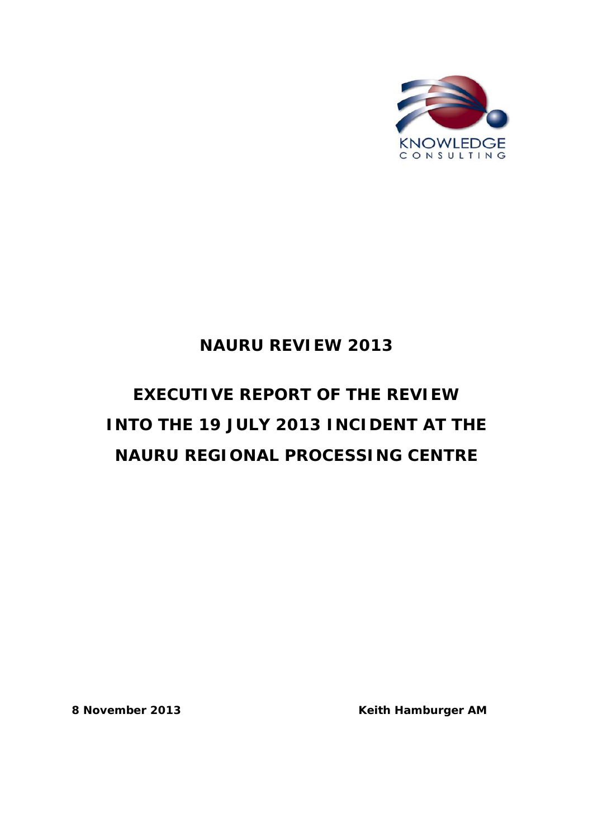

## **NAURU REVIEW 2013**

# **EXECUTIVE REPORT OF THE REVIEW INTO THE 19 JULY 2013 INCIDENT AT THE NAURU REGIONAL PROCESSING CENTRE**

**8 November 2013 Keith Hamburger AM**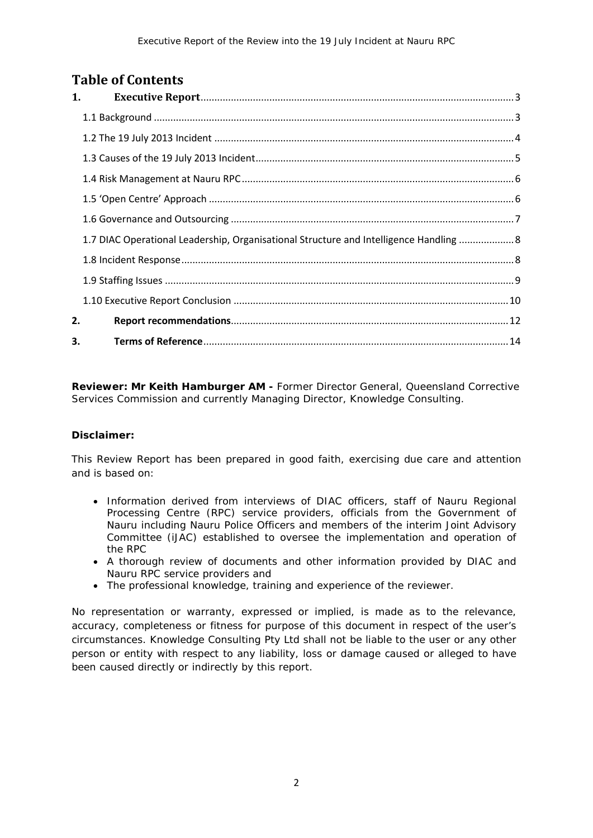### **Table of Contents**

|    | 1.                                                                                     |
|----|----------------------------------------------------------------------------------------|
|    |                                                                                        |
|    |                                                                                        |
|    |                                                                                        |
|    |                                                                                        |
|    |                                                                                        |
|    |                                                                                        |
|    | 1.7 DIAC Operational Leadership, Organisational Structure and Intelligence Handling  8 |
|    |                                                                                        |
|    |                                                                                        |
|    |                                                                                        |
| 2. |                                                                                        |
| 3. |                                                                                        |

**Reviewer: Mr Keith Hamburger AM -** Former Director General, Queensland Corrective Services Commission and currently Managing Director, Knowledge Consulting.

#### **Disclaimer:**

This Review Report has been prepared in good faith, exercising due care and attention and is based on:

- Information derived from interviews of DIAC officers, staff of Nauru Regional Processing Centre (RPC) service providers, officials from the Government of Nauru including Nauru Police Officers and members of the interim Joint Advisory Committee (iJAC) established to oversee the implementation and operation of the RPC
- A thorough review of documents and other information provided by DIAC and Nauru RPC service providers and
- The professional knowledge, training and experience of the reviewer.

No representation or warranty, expressed or implied, is made as to the relevance, accuracy, completeness or fitness for purpose of this document in respect of the user's circumstances. Knowledge Consulting Pty Ltd shall not be liable to the user or any other person or entity with respect to any liability, loss or damage caused or alleged to have been caused directly or indirectly by this report.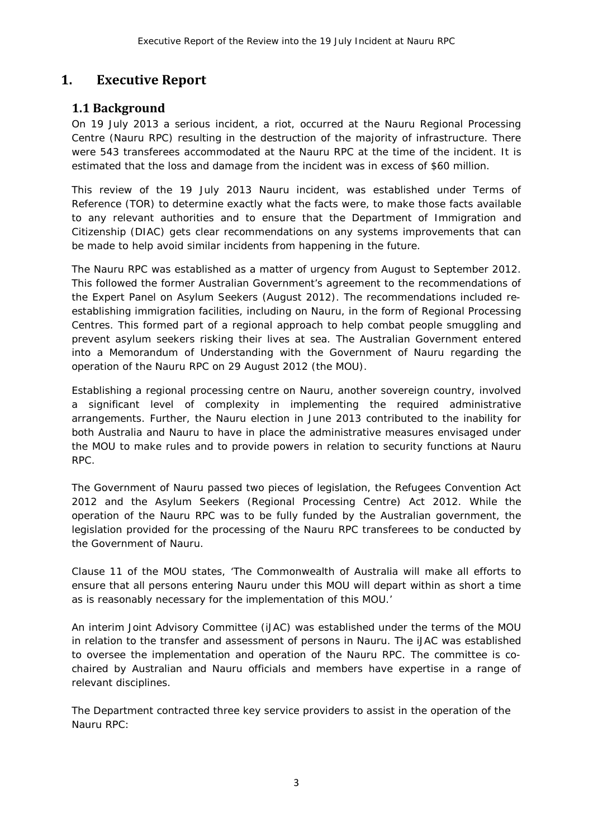### <span id="page-2-0"></span>**1. Executive Report**

### <span id="page-2-1"></span>**1.1 Background**

On 19 July 2013 a serious incident, a riot, occurred at the Nauru Regional Processing Centre (Nauru RPC) resulting in the destruction of the majority of infrastructure. There were 543 transferees accommodated at the Nauru RPC at the time of the incident. It is estimated that the loss and damage from the incident was in excess of \$60 million.

This review of the 19 July 2013 Nauru incident, was established under Terms of Reference (TOR) to determine exactly what the facts were, to make those facts available to any relevant authorities and to ensure that the Department of Immigration and Citizenship (DIAC) gets clear recommendations on any systems improvements that can be made to help avoid similar incidents from happening in the future.

The Nauru RPC was established as a matter of urgency from August to September 2012. This followed the former Australian Government's agreement to the recommendations of the *Expert Panel on Asylum Seekers* (August 2012). The recommendations included reestablishing immigration facilities, including on Nauru, in the form of Regional Processing Centres. This formed part of a regional approach to help combat people smuggling and prevent asylum seekers risking their lives at sea. The Australian Government entered into a Memorandum of Understanding with the Government of Nauru regarding the operation of the Nauru RPC on 29 August 2012 (the MOU).

Establishing a regional processing centre on Nauru, another sovereign country, involved a significant level of complexity in implementing the required administrative arrangements. Further, the Nauru election in June 2013 contributed to the inability for both Australia and Nauru to have in place the administrative measures envisaged under the MOU to make rules and to provide powers in relation to security functions at Nauru RPC.

The Government of Nauru passed two pieces of legislation, the *Refugees Convention Act 2012* and the *Asylum Seekers (Regional Processing Centre) Act 2012*. While the operation of the Nauru RPC was to be fully funded by the Australian government, the legislation provided for the processing of the Nauru RPC transferees to be conducted by the Government of Nauru.

Clause 11 of the MOU states, *'The Commonwealth of Australia will make all efforts to ensure that all persons entering Nauru under this MOU will depart within as short a time as is reasonably necessary for the implementation of this MOU.'*

An interim Joint Advisory Committee (iJAC) was established under the terms of the MOU in relation to the transfer and assessment of persons in Nauru. The iJAC was established to oversee the implementation and operation of the Nauru RPC. The committee is cochaired by Australian and Nauru officials and members have expertise in a range of relevant disciplines.

The Department contracted three key service providers to assist in the operation of the Nauru RPC: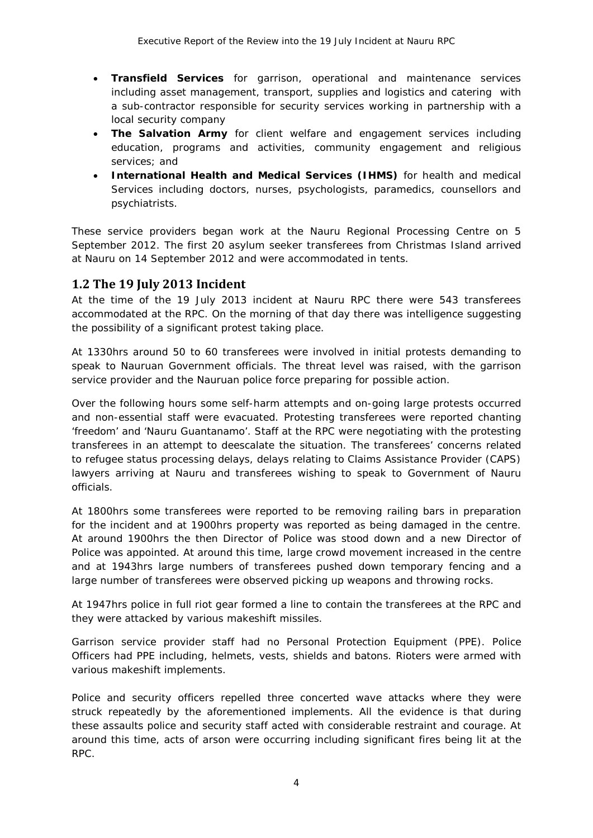- *Transfield Services* for garrison, operational and maintenance services including asset management, transport, supplies and logistics and catering with a sub-contractor responsible for security services working in partnership with a local security company
- **The Salvation Army** for client welfare and engagement services including education, programs and activities, community engagement and religious services; and
- **International Health and Medical Services (IHMS)** for health and medical Services including doctors, nurses, psychologists, paramedics, counsellors and psychiatrists.

These service providers began work at the Nauru Regional Processing Centre on 5 September 2012. The first 20 asylum seeker transferees from Christmas Island arrived at Nauru on 14 September 2012 and were accommodated in tents.

### <span id="page-3-0"></span>**1.2 The 19 July 2013 Incident**

At the time of the 19 July 2013 incident at Nauru RPC there were 543 transferees accommodated at the RPC. On the morning of that day there was intelligence suggesting the possibility of a significant protest taking place.

At 1330hrs around 50 to 60 transferees were involved in initial protests demanding to speak to Nauruan Government officials. The threat level was raised, with the garrison service provider and the Nauruan police force preparing for possible action.

Over the following hours some self-harm attempts and on-going large protests occurred and non-essential staff were evacuated. Protesting transferees were reported chanting 'freedom' and 'Nauru Guantanamo'. Staff at the RPC were negotiating with the protesting transferees in an attempt to deescalate the situation. The transferees' concerns related to refugee status processing delays, delays relating to Claims Assistance Provider (CAPS) lawyers arriving at Nauru and transferees wishing to speak to Government of Nauru officials.

At 1800hrs some transferees were reported to be removing railing bars in preparation for the incident and at 1900hrs property was reported as being damaged in the centre. At around 1900hrs the then Director of Police was stood down and a new Director of Police was appointed. At around this time, large crowd movement increased in the centre and at 1943hrs large numbers of transferees pushed down temporary fencing and a large number of transferees were observed picking up weapons and throwing rocks.

At 1947hrs police in full riot gear formed a line to contain the transferees at the RPC and they were attacked by various makeshift missiles.

Garrison service provider staff had no Personal Protection Equipment (PPE). Police Officers had PPE including, helmets, vests, shields and batons. Rioters were armed with various makeshift implements.

Police and security officers repelled three concerted wave attacks where they were struck repeatedly by the aforementioned implements. All the evidence is that during these assaults police and security staff acted with considerable restraint and courage. At around this time, acts of arson were occurring including significant fires being lit at the RPC.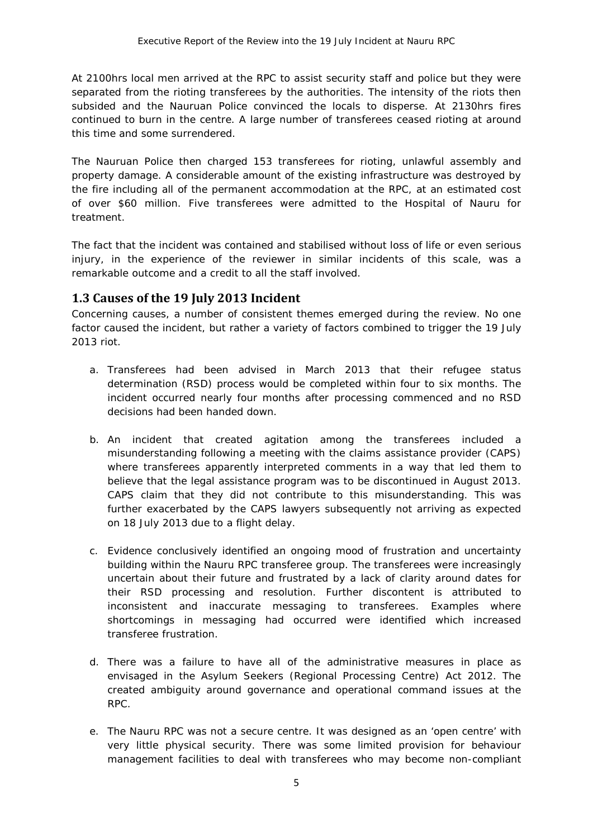At 2100hrs local men arrived at the RPC to assist security staff and police but they were separated from the rioting transferees by the authorities. The intensity of the riots then subsided and the Nauruan Police convinced the locals to disperse. At 2130hrs fires continued to burn in the centre. A large number of transferees ceased rioting at around this time and some surrendered.

The Nauruan Police then charged 153 transferees for rioting, unlawful assembly and property damage. A considerable amount of the existing infrastructure was destroyed by the fire including all of the permanent accommodation at the RPC, at an estimated cost of over \$60 million. Five transferees were admitted to the Hospital of Nauru for treatment.

The fact that the incident was contained and stabilised without loss of life or even serious injury, in the experience of the reviewer in similar incidents of this scale, was a remarkable outcome and a credit to all the staff involved.

### <span id="page-4-0"></span>**1.3 Causes of the 19 July 2013 Incident**

Concerning causes, a number of consistent themes emerged during the review. No one factor caused the incident, but rather a variety of factors combined to trigger the 19 July 2013 riot.

- a. Transferees had been advised in March 2013 that their refugee status determination (RSD) process would be completed within four to six months. The incident occurred nearly four months after processing commenced and no RSD decisions had been handed down.
- b. An incident that created agitation among the transferees included a misunderstanding following a meeting with the claims assistance provider (CAPS) where transferees apparently interpreted comments in a way that led them to believe that the legal assistance program was to be discontinued in August 2013. CAPS claim that they did not contribute to this misunderstanding. This was further exacerbated by the CAPS lawyers subsequently not arriving as expected on 18 July 2013 due to a flight delay.
- c. Evidence conclusively identified an ongoing mood of frustration and uncertainty building within the Nauru RPC transferee group. The transferees were increasingly uncertain about their future and frustrated by a lack of clarity around dates for their RSD processing and resolution. Further discontent is attributed to inconsistent and inaccurate messaging to transferees. Examples where shortcomings in messaging had occurred were identified which increased transferee frustration.
- d. There was a failure to have all of the administrative measures in place as envisaged in the *Asylum Seekers (Regional Processing Centre) Act 2012*. The created ambiguity around governance and operational command issues at the RPC.
- e. The Nauru RPC was not a secure centre. It was designed as an 'open centre' with very little physical security. There was some limited provision for behaviour management facilities to deal with transferees who may become non-compliant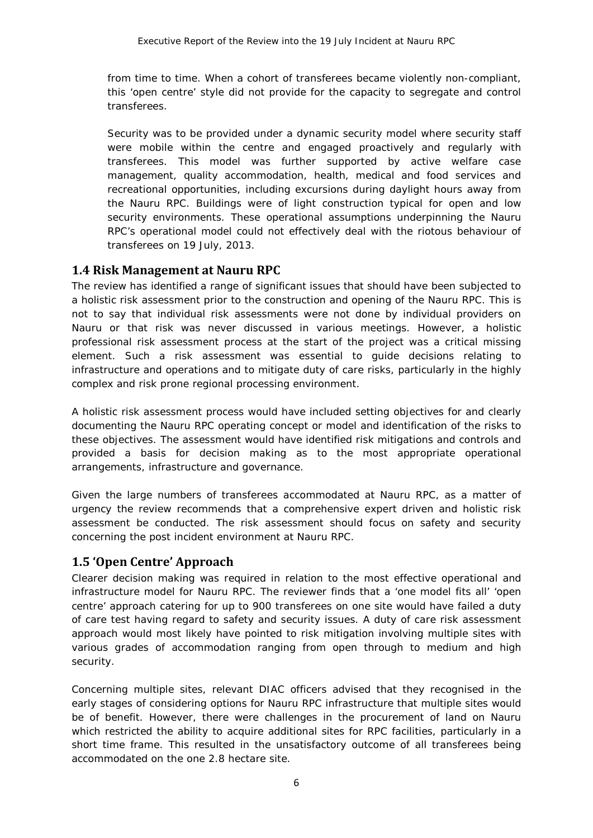from time to time. When a cohort of transferees became violently non-compliant, this 'open centre' style did not provide for the capacity to segregate and control transferees.

Security was to be provided under a dynamic security model where security staff were mobile within the centre and engaged proactively and regularly with transferees. This model was further supported by active welfare case management, quality accommodation, health, medical and food services and recreational opportunities, including excursions during daylight hours away from the Nauru RPC. Buildings were of light construction typical for open and low security environments. These operational assumptions underpinning the Nauru RPC's operational model could not effectively deal with the riotous behaviour of transferees on 19 July, 2013.

### <span id="page-5-0"></span>**1.4 Risk Management at Nauru RPC**

The review has identified a range of significant issues that should have been subjected to a holistic risk assessment prior to the construction and opening of the Nauru RPC. This is not to say that individual risk assessments were not done by individual providers on Nauru or that risk was never discussed in various meetings. However, a holistic professional risk assessment process at the start of the project was a critical missing element. Such a risk assessment was essential to guide decisions relating to infrastructure and operations and to mitigate *duty of care* risks, particularly in the highly complex and risk prone regional processing environment.

A holistic risk assessment process would have included setting objectives for and clearly documenting the Nauru RPC operating concept or model and identification of the risks to these objectives. The assessment would have identified risk mitigations and controls and provided a basis for decision making as to the most appropriate operational arrangements, infrastructure and governance.

Given the large numbers of transferees accommodated at Nauru RPC, as a matter of urgency the review recommends that a comprehensive expert driven and holistic risk assessment be conducted. The risk assessment should focus on safety and security concerning the post incident environment at Nauru RPC.

### <span id="page-5-1"></span>**1.5 'Open Centre' Approach**

Clearer decision making was required in relation to the most effective operational and infrastructure model for Nauru RPC. The reviewer finds that a 'one model fits all' 'open centre' approach catering for up to 900 transferees on one site would have failed a duty of care test having regard to safety and security issues. A duty of care risk assessment approach would most likely have pointed to risk mitigation involving multiple sites with various grades of accommodation ranging from open through to medium and high security.

Concerning multiple sites, relevant DIAC officers advised that they recognised in the early stages of considering options for Nauru RPC infrastructure that multiple sites would be of benefit. However, there were challenges in the procurement of land on Nauru which restricted the ability to acquire additional sites for RPC facilities, particularly in a short time frame. This resulted in the unsatisfactory outcome of all transferees being accommodated on the one 2.8 hectare site.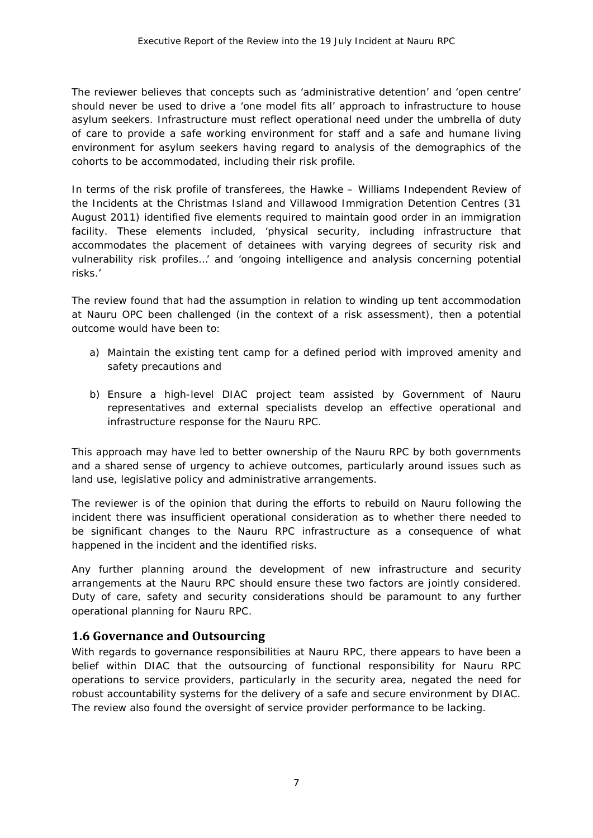The reviewer believes that concepts such as 'administrative detention' and 'open centre' should never be used to drive a 'one model fits all' approach to infrastructure to house asylum seekers. Infrastructure must reflect operational need under the umbrella of duty of care to provide a safe working environment for staff and a safe and humane living environment for asylum seekers having regard to analysis of the demographics of the cohorts to be accommodated, including their risk profile.

In terms of the risk profile of transferees, the Hawke – Williams *Independent Review of the Incidents at the Christmas Island and Villawood Immigration Detention Centres* (31 August 2011) identified five elements required to maintain good order in an immigration facility. These elements included, *'physical security, including infrastructure that accommodates the placement of detainees with varying degrees of security risk and vulnerability risk profiles…'* and *'ongoing intelligence and analysis concerning potential risks.'*

The review found that had the assumption in relation to winding up tent accommodation at Nauru OPC been challenged (in the context of a risk assessment), then a potential outcome would have been to:

- a) Maintain the existing tent camp for a defined period with improved amenity and safety precautions and
- b) Ensure a high-level DIAC project team assisted by Government of Nauru representatives and external specialists develop an effective operational and infrastructure response for the Nauru RPC.

This approach may have led to better ownership of the Nauru RPC by both governments and a shared sense of urgency to achieve outcomes, particularly around issues such as land use, legislative policy and administrative arrangements.

The reviewer is of the opinion that during the efforts to rebuild on Nauru following the incident there was insufficient operational consideration as to whether there needed to be significant changes to the Nauru RPC infrastructure as a consequence of what happened in the incident and the identified risks.

Any further planning around the development of new infrastructure and security arrangements at the Nauru RPC should ensure these two factors are jointly considered. Duty of care, safety and security considerations should be paramount to any further operational planning for Nauru RPC.

### <span id="page-6-0"></span>**1.6 Governance and Outsourcing**

With regards to governance responsibilities at Nauru RPC, there appears to have been a belief within DIAC that the outsourcing of functional responsibility for Nauru RPC operations to service providers, particularly in the security area, negated the need for robust accountability systems for the delivery of a safe and secure environment by DIAC. The review also found the oversight of service provider performance to be lacking.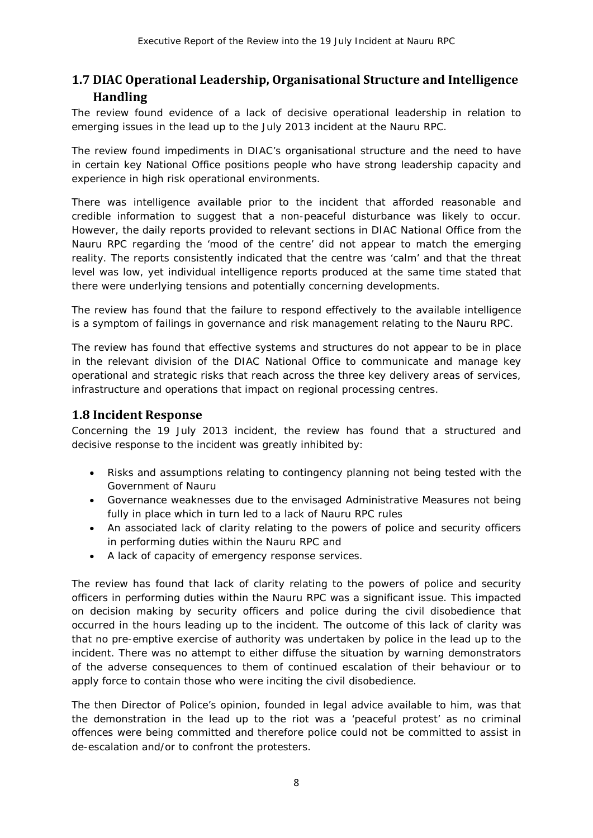### <span id="page-7-0"></span>**1.7 DIAC Operational Leadership, Organisational Structure and Intelligence Handling**

The review found evidence of a lack of decisive operational leadership in relation to emerging issues in the lead up to the July 2013 incident at the Nauru RPC.

The review found impediments in DIAC's organisational structure and the need to have in certain key National Office positions people who have strong leadership capacity and experience in high risk operational environments.

There was intelligence available prior to the incident that afforded reasonable and credible information to suggest that a non-peaceful disturbance was likely to occur. However, the daily reports provided to relevant sections in DIAC National Office from the Nauru RPC regarding the 'mood of the centre' did not appear to match the emerging reality. The reports consistently indicated that the centre was 'calm' and that the threat level was low, yet individual intelligence reports produced at the same time stated that there were underlying tensions and potentially concerning developments.

The review has found that the failure to respond effectively to the available intelligence is a symptom of failings in governance and risk management relating to the Nauru RPC.

The review has found that effective systems and structures do not appear to be in place in the relevant division of the DIAC National Office to communicate and manage key operational and strategic risks that reach across the three key delivery areas of services, infrastructure and operations that impact on regional processing centres.

### <span id="page-7-1"></span>**1.8 Incident Response**

Concerning the 19 July 2013 incident, the review has found that a structured and decisive response to the incident was greatly inhibited by:

- Risks and assumptions relating to contingency planning not being tested with the Government of Nauru
- Governance weaknesses due to the envisaged *Administrative Measures* not being fully in place which in turn led to a lack of Nauru RPC rules
- An associated lack of clarity relating to the powers of police and security officers in performing duties within the Nauru RPC and
- A lack of capacity of emergency response services.

The review has found that lack of clarity relating to the powers of police and security officers in performing duties within the Nauru RPC was a significant issue. This impacted on decision making by security officers and police during the civil disobedience that occurred in the hours leading up to the incident. The outcome of this lack of clarity was that no pre-emptive exercise of authority was undertaken by police in the lead up to the incident. There was no attempt to either diffuse the situation by warning demonstrators of the adverse consequences to them of continued escalation of their behaviour or to apply force to contain those who were inciting the civil disobedience.

The then Director of Police's opinion, founded in legal advice available to him, was that the demonstration in the lead up to the riot was a 'peaceful protest' as no criminal offences were being committed and therefore police could not be committed to assist in de-escalation and/or to confront the protesters.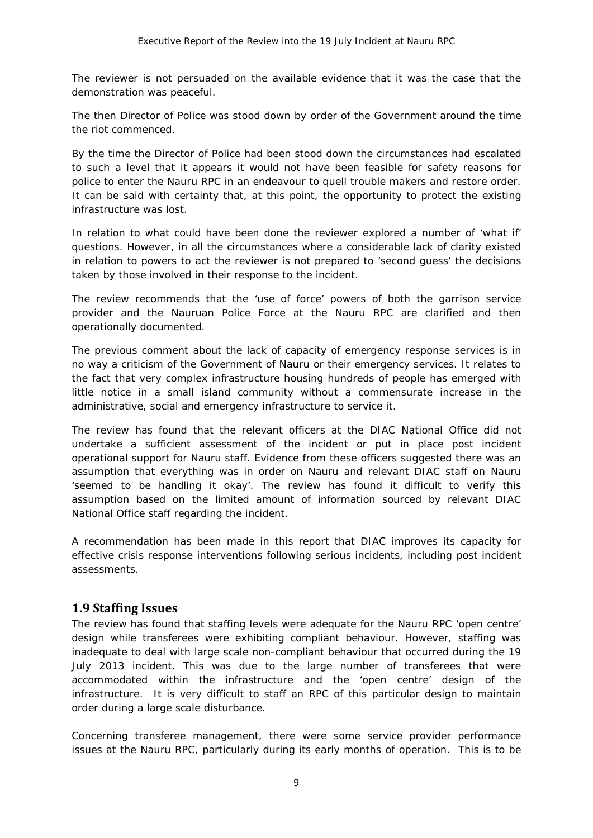The reviewer is not persuaded on the available evidence that it was the case that the demonstration was peaceful.

The then Director of Police was stood down by order of the Government around the time the riot commenced.

By the time the Director of Police had been stood down the circumstances had escalated to such a level that it appears it would not have been feasible for safety reasons for police to enter the Nauru RPC in an endeavour to quell trouble makers and restore order. It can be said with certainty that, at this point, the opportunity to protect the existing infrastructure was lost.

In relation to what could have been done the reviewer explored a number of 'what if' questions. However, in all the circumstances where a considerable lack of clarity existed in relation to powers to act the reviewer is not prepared to 'second guess' the decisions taken by those involved in their response to the incident.

The review recommends that the 'use of force' powers of both the garrison service provider and the Nauruan Police Force at the Nauru RPC are clarified and then operationally documented.

The previous comment about the lack of capacity of emergency response services is in no way a criticism of the Government of Nauru or their emergency services. It relates to the fact that very complex infrastructure housing hundreds of people has emerged with little notice in a small island community without a commensurate increase in the administrative, social and emergency infrastructure to service it.

The review has found that the relevant officers at the DIAC National Office did not undertake a sufficient assessment of the incident or put in place post incident operational support for Nauru staff. Evidence from these officers suggested there was an assumption that everything was in order on Nauru and relevant DIAC staff on Nauru 'seemed to be handling it okay'. The review has found it difficult to verify this assumption based on the limited amount of information sourced by relevant DIAC National Office staff regarding the incident.

A recommendation has been made in this report that DIAC improves its capacity for effective crisis response interventions following serious incidents, including post incident assessments.

### <span id="page-8-0"></span>**1.9 Staffing Issues**

The review has found that staffing levels were adequate for the Nauru RPC 'open centre' design while transferees were exhibiting compliant behaviour. However, staffing was inadequate to deal with large scale non-compliant behaviour that occurred during the 19 July 2013 incident. This was due to the large number of transferees that were accommodated within the infrastructure and the 'open centre' design of the infrastructure. It is very difficult to staff an RPC of this particular design to maintain order during a large scale disturbance.

Concerning transferee management, there were some service provider performance issues at the Nauru RPC, particularly during its early months of operation. This is to be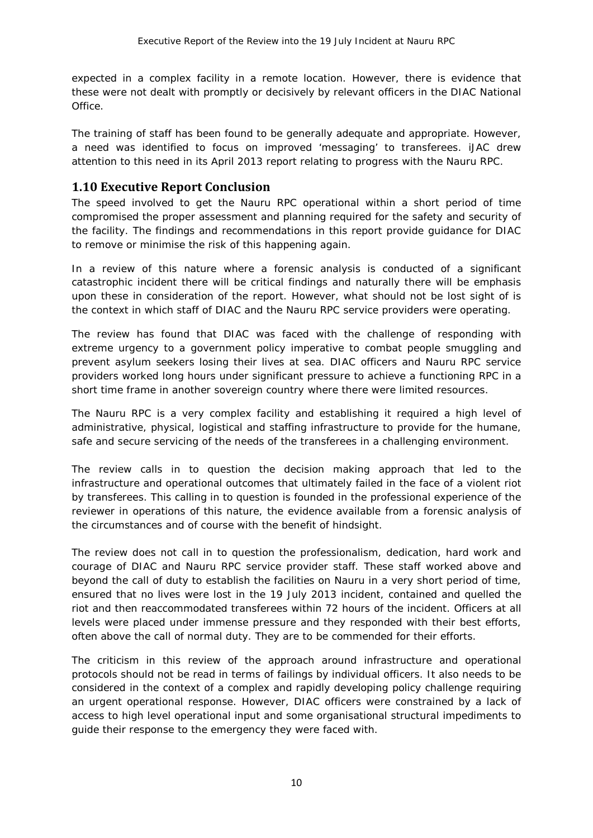expected in a complex facility in a remote location. However, there is evidence that these were not dealt with promptly or decisively by relevant officers in the DIAC National **Office** 

The training of staff has been found to be generally adequate and appropriate. However, a need was identified to focus on improved 'messaging' to transferees. iJAC drew attention to this need in its April 2013 report relating to progress with the Nauru RPC.

### <span id="page-9-0"></span>**1.10 Executive Report Conclusion**

The speed involved to get the Nauru RPC operational within a short period of time compromised the proper assessment and planning required for the safety and security of the facility. The findings and recommendations in this report provide guidance for DIAC to remove or minimise the risk of this happening again.

In a review of this nature where a forensic analysis is conducted of a significant catastrophic incident there will be critical findings and naturally there will be emphasis upon these in consideration of the report. However, what should not be lost sight of is the context in which staff of DIAC and the Nauru RPC service providers were operating.

The review has found that DIAC was faced with the challenge of responding with extreme urgency to a government policy imperative to combat people smuggling and prevent asylum seekers losing their lives at sea. DIAC officers and Nauru RPC service providers worked long hours under significant pressure to achieve a functioning RPC in a short time frame in another sovereign country where there were limited resources.

The Nauru RPC is a very complex facility and establishing it required a high level of administrative, physical, logistical and staffing infrastructure to provide for the humane, safe and secure servicing of the needs of the transferees in a challenging environment.

The review calls in to question the decision making approach that led to the infrastructure and operational outcomes that ultimately failed in the face of a violent riot by transferees. This calling in to question is founded in the professional experience of the reviewer in operations of this nature, the evidence available from a forensic analysis of the circumstances and of course with the benefit of hindsight.

The review does not call in to question the professionalism, dedication, hard work and courage of DIAC and Nauru RPC service provider staff. These staff worked above and beyond the call of duty to establish the facilities on Nauru in a very short period of time, ensured that no lives were lost in the 19 July 2013 incident, contained and quelled the riot and then reaccommodated transferees within 72 hours of the incident. Officers at all levels were placed under immense pressure and they responded with their best efforts, often above the call of normal duty. They are to be commended for their efforts.

The criticism in this review of the approach around infrastructure and operational protocols should not be read in terms of failings by individual officers. It also needs to be considered in the context of a complex and rapidly developing policy challenge requiring an urgent operational response. However, DIAC officers were constrained by a lack of access to high level operational input and some organisational structural impediments to guide their response to the emergency they were faced with.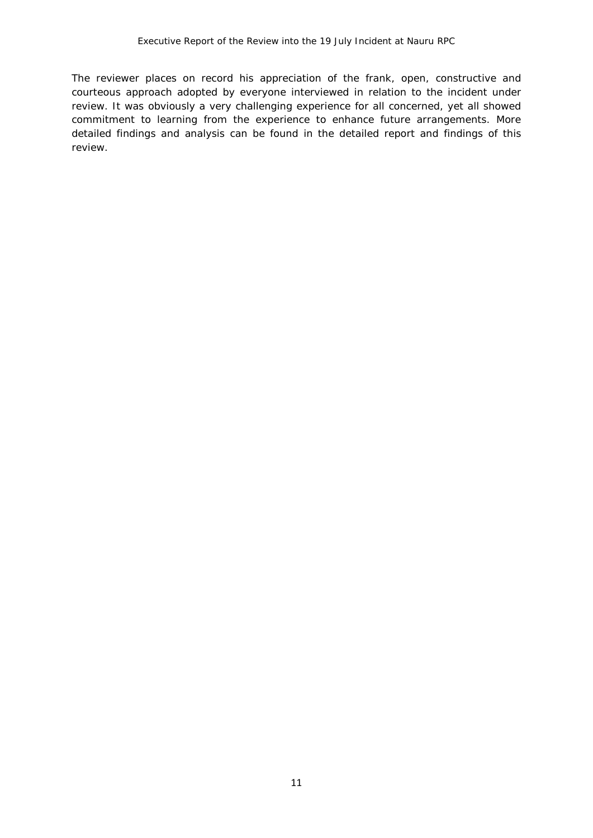The reviewer places on record his appreciation of the frank, open, constructive and courteous approach adopted by everyone interviewed in relation to the incident under review. It was obviously a very challenging experience for all concerned, yet all showed commitment to learning from the experience to enhance future arrangements. More detailed findings and analysis can be found in the detailed report and findings of this review.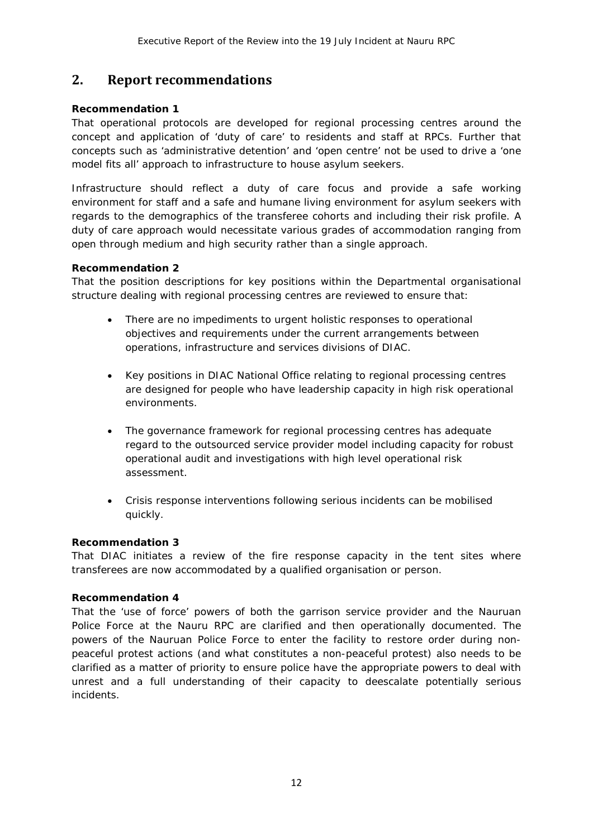### <span id="page-11-0"></span>**2. Report recommendations**

#### **Recommendation 1**

*That operational protocols are developed for regional processing centres around the concept and application of 'duty of care' to residents and staff at RPCs. Further that concepts such as 'administrative detention' and 'open centre' not be used to drive a 'one model fits all' approach to infrastructure to house asylum seekers.* 

*Infrastructure should reflect a duty of care focus and provide a safe working environment for staff and a safe and humane living environment for asylum seekers with regards to the demographics of the transferee cohorts and including their risk profile. A duty of care approach would necessitate various grades of accommodation ranging from open through medium and high security rather than a single approach.*

#### **Recommendation 2**

*That the position descriptions for key positions within the Departmental organisational structure dealing with regional processing centres are reviewed to ensure that:*

- *There are no impediments to urgent holistic responses to operational objectives and requirements under the current arrangements between operations, infrastructure and services divisions of DIAC.*
- *Key positions in DIAC National Office relating to regional processing centres are designed for people who have leadership capacity in high risk operational environments.*
- *The governance framework for regional processing centres has adequate regard to the outsourced service provider model including capacity for robust operational audit and investigations with high level operational risk assessment.*
- *Crisis response interventions following serious incidents can be mobilised quickly.*

#### **Recommendation 3**

*That DIAC initiates a review of the fire response capacity in the tent sites where transferees are now accommodated by a qualified organisation or person.*

#### *Recommendation 4*

*That the 'use of force' powers of both the garrison service provider and the Nauruan*  Police Force at the Nauru RPC are clarified and then operationally documented. The *powers of the Nauruan Police Force to enter the facility to restore order during nonpeaceful protest actions (and what constitutes a non-peaceful protest) also needs to be clarified as a matter of priority to ensure police have the appropriate powers to deal with unrest and a full understanding of their capacity to deescalate potentially serious incidents.*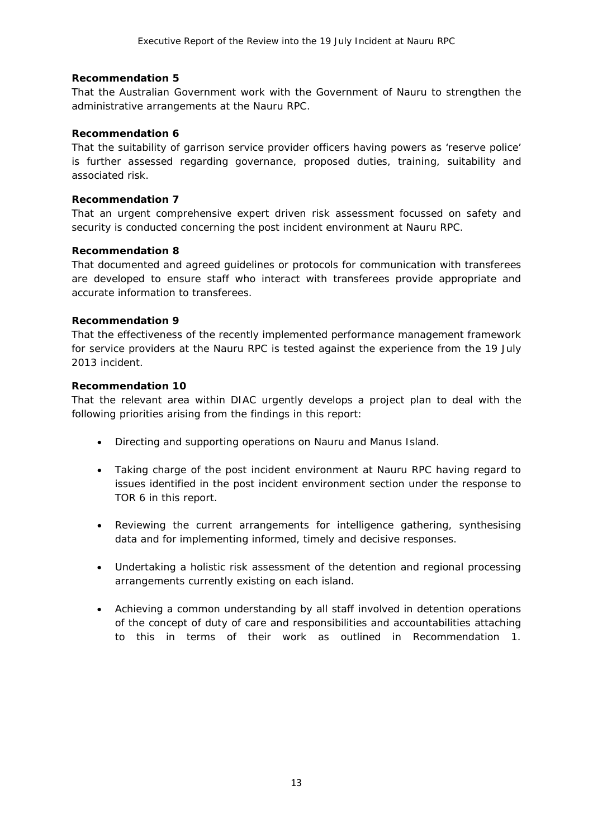#### **Recommendation 5**

That the Australian Government work with the Government of Nauru to strengthen the *administrative arrangements at the Nauru RPC.*

#### **Recommendation 6**

*That the suitability of garrison service provider officers having powers as 'reserve police' is further assessed regarding governance, proposed duties, training, suitability and associated risk.* 

#### **Recommendation 7**

*That an urgent comprehensive expert driven risk assessment focussed on safety and security is conducted concerning the post incident environment at Nauru RPC.* 

#### **Recommendation 8**

*That documented and agreed guidelines or protocols for communication with transferees are developed to ensure staff who interact with transferees provide appropriate and accurate information to transferees.*

#### **Recommendation 9**

*That the effectiveness of the recently implemented performance management framework for service providers at the Nauru RPC is tested against the experience from the 19 July 2013 incident.*

#### **Recommendation 10**

*That the relevant area within DIAC urgently develops a project plan to deal with the following priorities arising from the findings in this report:* 

- *Directing and supporting operations on Nauru and Manus Island.*
- *Taking charge of the post incident environment at Nauru RPC having regard to issues identified in the post incident environment section under the response to TOR 6 in this report.*
- *Reviewing the current arrangements for intelligence gathering, synthesising data and for implementing informed, timely and decisive responses.*
- *Undertaking a holistic risk assessment of the detention and regional processing arrangements currently existing on each island.*
- *Achieving a common understanding by all staff involved in detention operations of the concept of duty of care and responsibilities and accountabilities attaching to this in terms of their work as outlined in Recommendation 1.*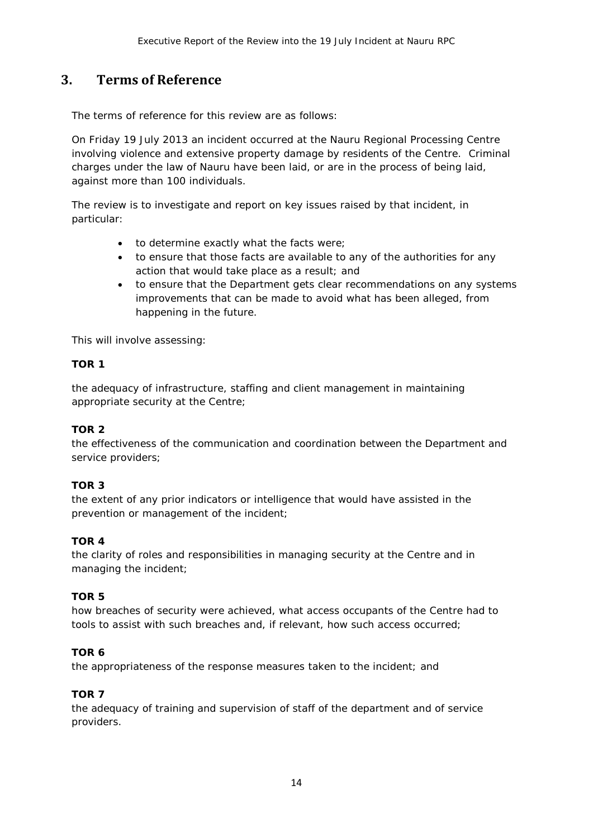### <span id="page-13-0"></span>**3. Terms of Reference**

#### *The terms of reference for this review are as follows:*

On Friday 19 July 2013 an incident occurred at the Nauru Regional Processing Centre involving violence and extensive property damage by residents of the Centre. Criminal charges under the law of Nauru have been laid, or are in the process of being laid, against more than 100 individuals.

The review is to investigate and report on key issues raised by that incident, in particular:

- to determine exactly what the facts were;
- to ensure that those facts are available to any of the authorities for any action that would take place as a result; and
- to ensure that the Department gets clear recommendations on any systems improvements that can be made to avoid what has been alleged, from happening in the future.

This will involve assessing:

#### **TOR 1**

the adequacy of infrastructure, staffing and client management in maintaining appropriate security at the Centre;

#### **TOR 2**

the effectiveness of the communication and coordination between the Department and service providers;

#### **TOR 3**

the extent of any prior indicators or intelligence that would have assisted in the prevention or management of the incident;

#### **TOR 4**

the clarity of roles and responsibilities in managing security at the Centre and in managing the incident;

#### **TOR 5**

how breaches of security were achieved, what access occupants of the Centre had to tools to assist with such breaches and, if relevant, how such access occurred;

#### **TOR 6**

the appropriateness of the response measures taken to the incident; and

#### **TOR 7**

the adequacy of training and supervision of staff of the department and of service providers.